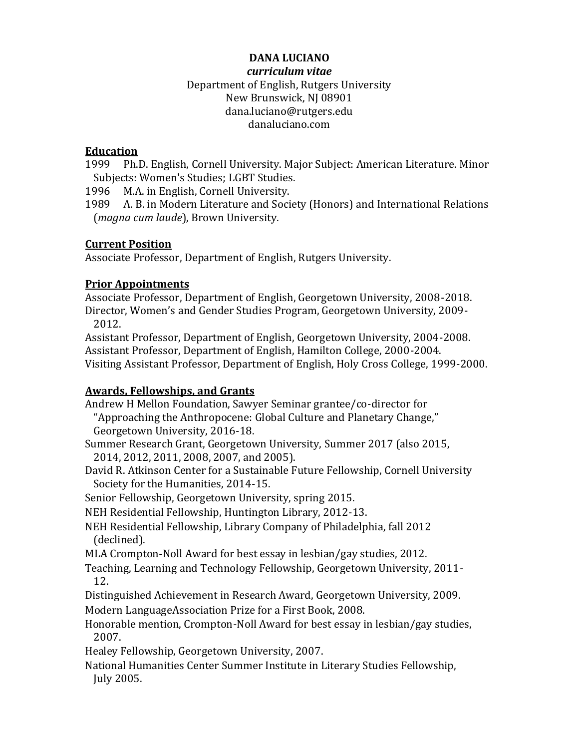## **DANA LUCIANO** *curriculum vitae* Department of English, Rutgers University New Brunswick, NJ 08901 dana.luciano@rutgers.edu danaluciano.com

## **Education**

1999 Ph.D. English, Cornell University. Major Subject: American Literature. Minor Subjects: Women's Studies; LGBT Studies.

1996 M.A. in English, Cornell University.

1989 A. B. in Modern Literature and Society (Honors) and International Relations (*magna cum laude*), Brown University.

## **Current Position**

Associate Professor, Department of English, Rutgers University.

## **Prior Appointments**

Associate Professor, Department of English, Georgetown University, 2008-2018. Director, Women's and Gender Studies Program, Georgetown University, 2009- 2012.

Assistant Professor, Department of English, Georgetown University, 2004-2008. Assistant Professor, Department of English, Hamilton College, 2000-2004. Visiting Assistant Professor, Department of English, Holy Cross College, 1999-2000.

## **Awards, Fellowships, and Grants**

Andrew H Mellon Foundation, Sawyer Seminar grantee/co-director for "Approaching the Anthropocene: Global Culture and Planetary Change," Georgetown University, 2016-18.

- Summer Research Grant, Georgetown University, Summer 2017 (also 2015, 2014, 2012, 2011, 2008, 2007, and 2005).
- David R. Atkinson Center for a Sustainable Future Fellowship, Cornell University Society for the Humanities, 2014-15.

Senior Fellowship, Georgetown University, spring 2015.

NEH Residential Fellowship, Huntington Library, 2012-13.

NEH Residential Fellowship, Library Company of Philadelphia, fall 2012 (declined).

MLA Crompton-Noll Award for best essay in lesbian/gay studies, 2012.

Teaching, Learning and Technology Fellowship, Georgetown University, 2011- 12.

Distinguished Achievement in Research Award, Georgetown University, 2009.

Modern LanguageAssociation Prize for a First Book, 2008.

Honorable mention, Crompton-Noll Award for best essay in lesbian/gay studies, 2007.

Healey Fellowship, Georgetown University, 2007.

National Humanities Center Summer Institute in Literary Studies Fellowship, July 2005.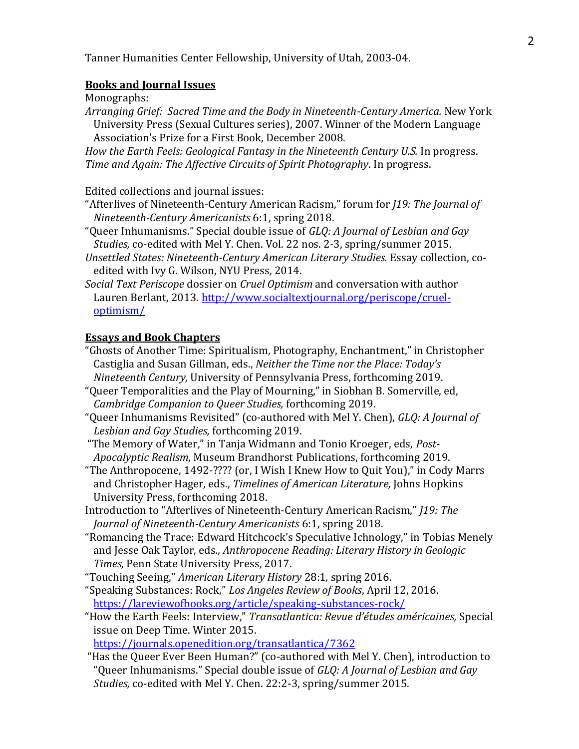#### **Books and Journal Issues**

Monographs:

*Arranging Grief: Sacred Time and the Body in Nineteenth-Century America.* New York University Press (Sexual Cultures series), 2007. Winner of the Modern Language Association's Prize for a First Book, December 2008.

How the Earth Feels: Geological Fantasy in the Nineteenth Century U.S. In progress. *Time and Again: The Affective Circuits of Spirit Photography*. In progress.

Edited collections and journal issues:

- "Afterlives of Nineteenth-Century American Racism," forum for *J19: The Journal of Nineteenth-Century Americanists* 6:1, spring 2018.
- "Queer Inhumanisms." Special double issue of *GLQ: A Journal of Lesbian and Gay Studies,* co-edited with Mel Y. Chen. Vol. 22 nos. 2-3, spring/summer 2015.
- *Unsettled States: Nineteenth-Century American Literary Studies.* Essay collection, coedited with Ivy G. Wilson, NYU Press, 2014.
- *Social Text Periscope* dossier on *Cruel Optimism* and conversation with author Lauren Berlant, 2013. [http://www.socialtextjournal.org/periscope/cruel](http://www.socialtextjournal.org/periscope/cruel-optimism/)[optimism/](http://www.socialtextjournal.org/periscope/cruel-optimism/)

#### **Essays and Book Chapters**

- "Ghosts of Another Time: Spiritualism, Photography, Enchantment," in Christopher Castiglia and Susan Gillman, eds., *Neither the Time nor the Place: Today's Nineteenth Century,* University of Pennsylvania Press, forthcoming 2019.
- "Queer Temporalities and the Play of Mourning," in Siobhan B. Somerville, ed, *Cambridge Companion to Queer Studies,* forthcoming 2019.
- "Queer Inhumanisms Revisited" (co-authored with Mel Y. Chen), *GLQ: A Journal of Lesbian and Gay Studies,* forthcoming 2019.

"The Memory of Water," in Tanja Widmann and Tonio Kroeger, eds, *Post-Apocalyptic Realism*, Museum Brandhorst Publications, forthcoming 2019.

- "The Anthropocene, 1492-???? (or, I Wish I Knew How to Quit You)," in Cody Marrs and Christopher Hager, eds., *Timelines of American Literature,* Johns Hopkins University Press, forthcoming 2018.
- Introduction to "Afterlives of Nineteenth-Century American Racism," *J19: The Journal of Nineteenth-Century Americanists* 6:1, spring 2018.
- "Romancing the Trace: Edward Hitchcock's Speculative Ichnology," in Tobias Menely and Jesse Oak Taylor*,* eds*., Anthropocene Reading: Literary History in Geologic Times*, Penn State University Press, 2017.
- "Touching Seeing," *American Literary History* 28:1*,* spring 2016.
- "Speaking Substances: Rock," *Los Angeles Review of Books*, April 12, 2016. <https://lareviewofbooks.org/article/speaking-substances-rock/>
- "How the Earth Feels: Interview," *Transatlantica: Revue d'études américaines,* Special issue on Deep Time. Winter 2015.

<https://journals.openedition.org/transatlantica/7362>

"Has the Queer Ever Been Human?" (co-authored with Mel Y. Chen), introduction to "Queer Inhumanisms." Special double issue of *GLQ: A Journal of Lesbian and Gay Studies,* co-edited with Mel Y. Chen. 22:2-3, spring/summer 2015.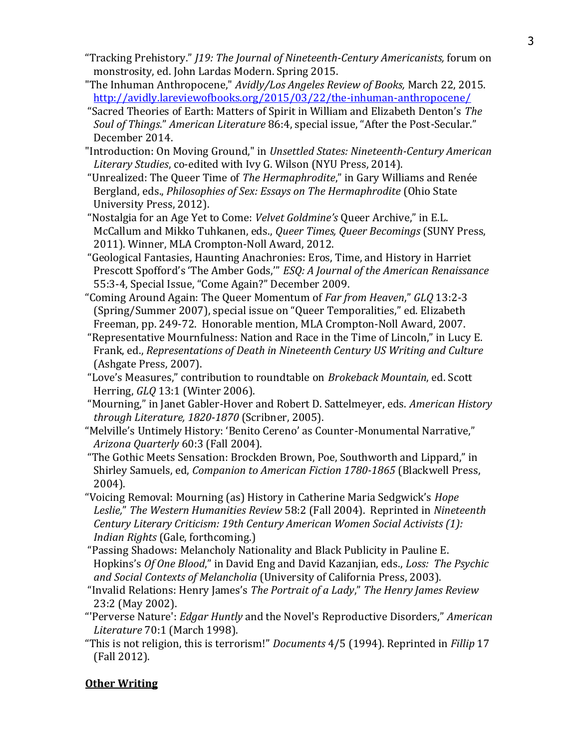- "Tracking Prehistory." *J19: The Journal of Nineteenth-Century Americanists,* forum on monstrosity, ed. John Lardas Modern. Spring 2015.
- ["The Inhuman Anthropocene,"](http://avidly.lareviewofbooks.org/2015/03/22/the-inhuman-anthropocene/) *Avidly/Los Angeles Review of Books,* March 22, 2015. <http://avidly.lareviewofbooks.org/2015/03/22/the-inhuman-anthropocene/>
- "Sacred Theories of Earth: Matters of Spirit in William and Elizabeth Denton's *The Soul of Things*." *American Literature* 86:4, special issue, "After the Post-Secular." December 2014.
- ["Introduction: On Moving Ground,"](http://www.danaluciano.com/uploads/3/9/0/8/39087971/luciano_intro_us.pdf) in *Unsettled States: Nineteenth-Century American Literary Studies*, co-edited with Ivy G. Wilson (NYU Press, 2014).
- "Unrealized: The Queer Time of *The Hermaphrodite*," in Gary Williams and Renée Bergland, eds., *Philosophies of Sex: Essays on The Hermaphrodite* (Ohio State University Press, 2012).
- "Nostalgia for an Age Yet to Come: *Velvet Goldmine's* Queer Archive," in E.L. McCallum and Mikko Tuhkanen, eds., *Queer Times, Queer Becomings* (SUNY Press, 2011). Winner, MLA Crompton-Noll Award, 2012.
- "Geological Fantasies, Haunting Anachronies: Eros, Time, and History in Harriet Prescott Spofford's 'The Amber Gods,'" *ESQ: A Journal of the American Renaissance*  55:3-4, Special Issue, "Come Again?" December 2009.
- "Coming Around Again: The Queer Momentum of *Far from Heaven*," *GLQ* 13:2-3 (Spring/Summer 2007), special issue on "Queer Temporalities," ed. Elizabeth Freeman, pp. 249-72. Honorable mention, MLA Crompton-Noll Award, 2007.
- "Representative Mournfulness: Nation and Race in the Time of Lincoln," in Lucy E. Frank, ed., *Representations of Death in Nineteenth Century US Writing and Culture*  (Ashgate Press, 2007).
- "Love's Measures," contribution to roundtable on *Brokeback Mountain*, ed. Scott Herring, *GLQ* 13:1 (Winter 2006).
- "Mourning," in Janet Gabler-Hover and Robert D. Sattelmeyer, eds. *American History through Literature, 1820-1870* (Scribner, 2005).
- "Melville's Untimely History: 'Benito Cereno' as Counter-Monumental Narrative," *Arizona Quarterly* 60:3 (Fall 2004).
- "The Gothic Meets Sensation: Brockden Brown, Poe, Southworth and Lippard," in Shirley Samuels, ed, *Companion to American Fiction 1780-1865* (Blackwell Press, 2004).
- "Voicing Removal: Mourning (as) History in Catherine Maria Sedgwick's *Hope Leslie,*" *The Western Humanities Review* 58:2 (Fall 2004). Reprinted in *Nineteenth Century Literary Criticism: 19th Century American Women Social Activists (1): Indian Rights* (Gale, forthcoming.)
- "Passing Shadows: Melancholy Nationality and Black Publicity in Pauline E. Hopkins's *Of One Blood*," in David Eng and David Kazanjian, eds., *Loss: The Psychic and Social Contexts of Melancholia* (University of California Press, 2003).
- "Invalid Relations: Henry James's *The Portrait of a Lady*," *The Henry James Review*  23:2 (May 2002).
- "'Perverse Nature': *Edgar Huntly* and the Novel's Reproductive Disorders," *American Literature* 70:1 (March 1998).
- "This is not religion, this is terrorism!" *Documents* 4/5 (1994). Reprinted in *Fillip* 17 (Fall 2012).

# **Other Writing**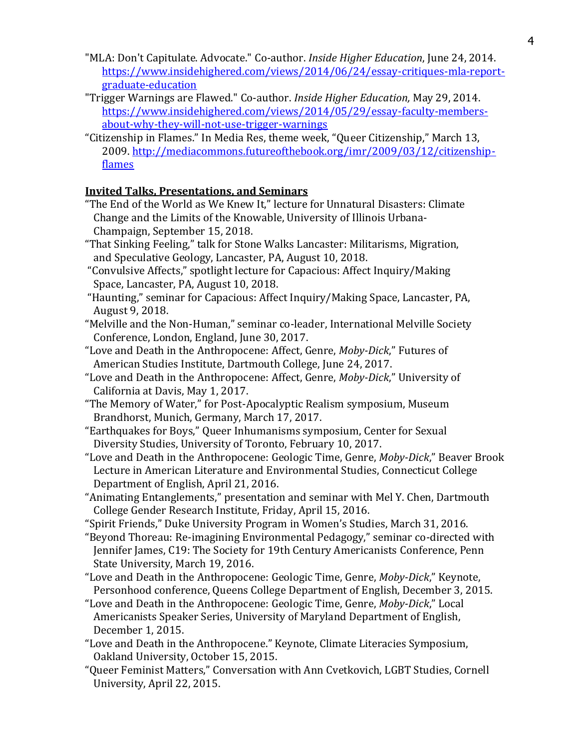- "MLA: Don't Capitulate. Advocate." Co-author. *Inside Higher Education*, June 24, 2014. [https://www.insidehighered.com/views/2014/06/24/essay-critiques-mla-report](https://www.insidehighered.com/views/2014/06/24/essay-critiques-mla-report-graduate-education)[graduate-education](https://www.insidehighered.com/views/2014/06/24/essay-critiques-mla-report-graduate-education)
- ["Trigger Warnings are Flawed."](https://www.insidehighered.com/views/2014/05/29/essay-faculty-members-about-why-they-will-not-use-trigger-warnings) Co-author. *Inside Higher Education,* May 29, 2014. [https://www.insidehighered.com/views/2014/05/29/essay-faculty-members](https://www.insidehighered.com/views/2014/05/29/essay-faculty-members-about-why-they-will-not-use-trigger-warnings)[about-why-they-will-not-use-trigger-warnings](https://www.insidehighered.com/views/2014/05/29/essay-faculty-members-about-why-they-will-not-use-trigger-warnings)
- "Citizenship in Flames." In Media Res, theme week, "Queer Citizenship," March 13, 2009[. http://mediacommons.futureofthebook.org/imr/2009/03/12/citizenship](http://mediacommons.futureofthebook.org/imr/2009/03/12/citizenship-flames)[flames](http://mediacommons.futureofthebook.org/imr/2009/03/12/citizenship-flames)

## **Invited Talks, Presentations, and Seminars**

- "The End of the World as We Knew It," lecture for Unnatural Disasters: Climate Change and the Limits of the Knowable, University of Illinois Urbana-Champaign, September 15, 2018.
- "That Sinking Feeling," talk for Stone Walks Lancaster: Militarisms, Migration, and Speculative Geology, Lancaster, PA, August 10, 2018.
- "Convulsive Affects," spotlight lecture for Capacious: Affect Inquiry/Making Space, Lancaster, PA, August 10, 2018.
- "Haunting," seminar for Capacious: Affect Inquiry/Making Space, Lancaster, PA, August 9, 2018.
- "Melville and the Non-Human," seminar co-leader, International Melville Society Conference, London, England, June 30, 2017.
- "Love and Death in the Anthropocene: Affect, Genre, *Moby-Dick*," Futures of American Studies Institute, Dartmouth College, June 24, 2017.
- "Love and Death in the Anthropocene: Affect, Genre, *Moby-Dick*," University of California at Davis, May 1, 2017.
- "The Memory of Water," for Post-Apocalyptic Realism symposium, Museum Brandhorst, Munich, Germany, March 17, 2017.
- "Earthquakes for Boys," Queer Inhumanisms symposium, Center for Sexual Diversity Studies, University of Toronto, February 10, 2017.
- "Love and Death in the Anthropocene: Geologic Time, Genre, *Moby-Dick*," Beaver Brook Lecture in American Literature and Environmental Studies, Connecticut College Department of English, April 21, 2016.
- "Animating Entanglements," presentation and seminar with Mel Y. Chen, Dartmouth College Gender Research Institute, Friday, April 15, 2016.
- "Spirit Friends," Duke University Program in Women's Studies, March 31, 2016.
- "Beyond Thoreau: Re-imagining Environmental Pedagogy," seminar co-directed with Jennifer James, C19: The Society for 19th Century Americanists Conference, Penn State University, March 19, 2016.
- "Love and Death in the Anthropocene: Geologic Time, Genre, *Moby-Dick*," Keynote, Personhood conference, Queens College Department of English, December 3, 2015.
- "Love and Death in the Anthropocene: Geologic Time, Genre, *Moby-Dick*," Local Americanists Speaker Series, University of Maryland Department of English, December 1, 2015.
- "Love and Death in the Anthropocene." Keynote, Climate Literacies Symposium, Oakland University, October 15, 2015.
- "Queer Feminist Matters," Conversation with Ann Cvetkovich, LGBT Studies, Cornell University, April 22, 2015.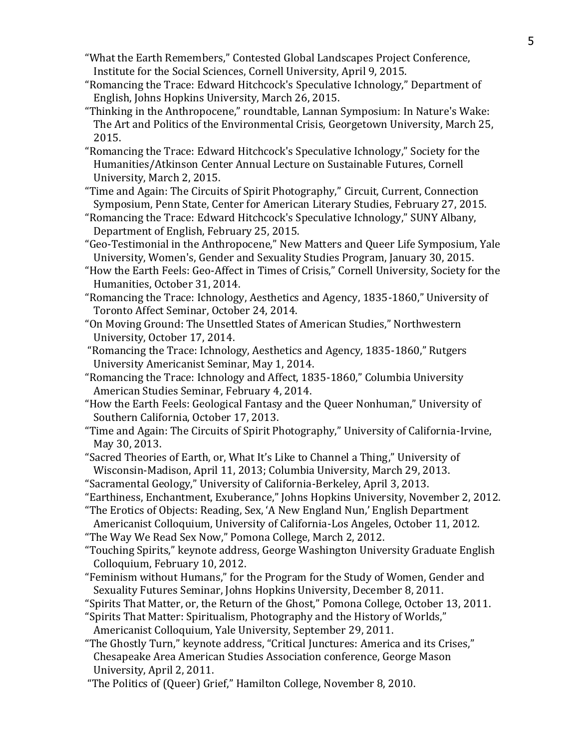- "What the Earth Remembers," [Contested Global Landscapes Project](http://socialsciences.cornell.edu/land-theme-project/) Conference, Institute for the Social Sciences, Cornell University, April 9, 2015.
- "Romancing the Trace: Edward Hitchcock's Speculative Ichnology," Department of English, Johns Hopkins University, March 26, 2015.
- "Thinking in the Anthropocene," roundtable, Lannan Symposium: [In Nature's Wake:](https://blogs.commons.georgetown.edu/innatureswake/)  [The Art and Politics of the Environmental Crisis,](https://blogs.commons.georgetown.edu/innatureswake/) Georgetown University, March 25, 2015.
- "Romancing the Trace: Edward Hitchcock's Speculative Ichnology," Society for the Humanities/Atkinson Center Annual Lecture on Sustainable Futures, Cornell University, March 2, 2015.
- "Time and Again: The Circuits of Spirit Photography," [Circuit, Current, Connection](http://cals.la.psu.edu/events/circuit-current-connection-a-cals-symposium)  [Symposium,](http://cals.la.psu.edu/events/circuit-current-connection-a-cals-symposium) Penn State, Center for American Literary Studies, February 27, 2015.
- "Romancing the Trace: Edward Hitchcock's Speculative Ichnology," SUNY Albany, Department of English, February 25, 2015.
- "Geo-Testimonial in the Anthropocene," [New Matters and](http://lgbts.yale.edu/event/conference-new-matters-and-queer-life) Queer Life Symposium, Yale University, Women's, Gender and Sexuality Studies Program, January 30, 2015.
- ["How the Earth Feels: Geo](http://vimeo.com/112395302)-Affect in Times of Crisis," Cornell University, Society for the Humanities, October 31, 2014.
- "Romancing the Trace: Ichnology, Aesthetics and Agency, 1835-1860," University of Toronto Affect Seminar, October 24, 2014.
- "On Moving Ground: The Unsettled States of American Studies," Northwestern University, October 17, 2014.
- "Romancing the Trace: Ichnology, Aesthetics and Agency, 1835-1860," Rutgers University Americanist Seminar, May 1, 2014.
- "Romancing the Trace: Ichnology and Affect, 1835-1860," Columbia University American Studies Seminar, February 4, 2014.
- "How the Earth Feels: Geological Fantasy and the Queer Nonhuman," University of Southern California, October 17, 2013.
- "Time and Again: The Circuits of Spirit Photography," University of California-Irvine, May 30, 2013.
- "Sacred Theories of Earth, or, What It's Like to Channel a Thing," University of Wisconsin-Madison, April 11, 2013; Columbia University, March 29, 2013.
- "Sacramental Geology," University of California-Berkeley, April 3, 2013.
- "Earthiness, Enchantment, Exuberance," Johns Hopkins University, November 2, 2012. "The Erotics of Objects: Reading, Sex, 'A New England Nun,' English Department
- Americanist Colloquium, University of California-Los Angeles, October 11, 2012.
- "The Way We Read Sex Now," Pomona College, March 2, 2012.
- "Touching Spirits," keynote address, George Washington University Graduate English Colloquium, February 10, 2012.
- "Feminism without Humans," for the Program for the Study of Women, Gender and Sexuality Futures Seminar, Johns Hopkins University, December 8, 2011.
- "Spirits That Matter, or, the Return of the Ghost," Pomona College, October 13, 2011.
- "Spirits That Matter: Spiritualism, Photography and the History of Worlds,"
- Americanist Colloquium, Yale University, September 29, 2011.
- "The Ghostly Turn," keynote address, "Critical Junctures: America and its Crises," Chesapeake Area American Studies Association conference, George Mason University, April 2, 2011.
- "The Politics of (Queer) Grief," Hamilton College, November 8, 2010.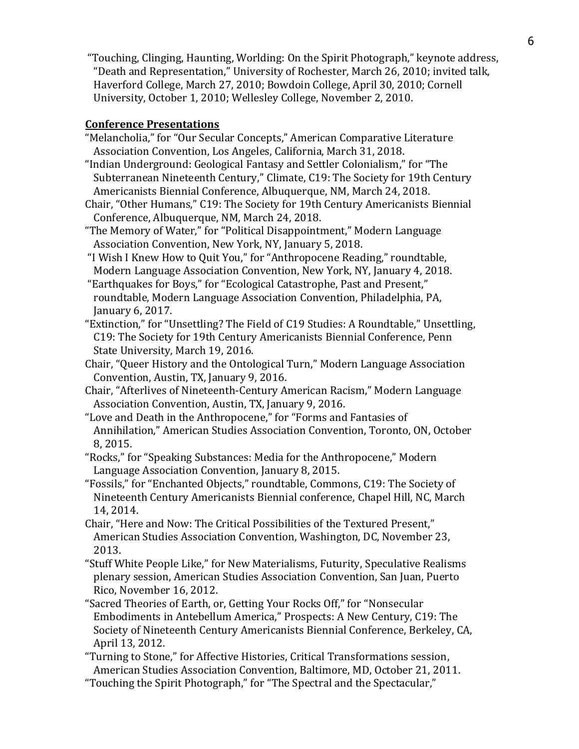"Touching, Clinging, Haunting, Worlding: On the Spirit Photograph," keynote address, "Death and Representation," University of Rochester, March 26, 2010; invited talk, Haverford College, March 27, 2010; Bowdoin College, April 30, 2010; Cornell University, October 1, 2010; Wellesley College, November 2, 2010.

### **Conference Presentations**

- "Melancholia," for "Our Secular Concepts," American Comparative Literature Association Convention, Los Angeles, California, March 31, 2018.
- "Indian Underground: Geological Fantasy and Settler Colonialism," for "The Subterranean Nineteenth Century," Climate, C19: The Society for 19th Century Americanists Biennial Conference, Albuquerque, NM, March 24, 2018.
- Chair, "Other Humans," C19: The Society for 19th Century Americanists Biennial Conference, Albuquerque, NM, March 24, 2018.
- "The Memory of Water," for "Political Disappointment," Modern Language Association Convention, New York, NY, January 5, 2018.
- "I Wish I Knew How to Quit You," for "Anthropocene Reading," roundtable, Modern Language Association Convention, New York, NY, January 4, 2018.
- "Earthquakes for Boys," for "Ecological Catastrophe, Past and Present," roundtable, Modern Language Association Convention, Philadelphia, PA, January 6, 2017.
- "Extinction," for "Unsettling? The Field of C19 Studies: A Roundtable," Unsettling, C19: The Society for 19th Century Americanists Biennial Conference, Penn State University, March 19, 2016.
- Chair, "Queer History and the Ontological Turn," Modern Language Association Convention, Austin, TX, January 9, 2016.
- Chair, "Afterlives of Nineteenth-Century American Racism," Modern Language Association Convention, Austin, TX, January 9, 2016.
- "Love and Death in the Anthropocene," for "Forms and Fantasies of Annihilation," American Studies Association Convention, Toronto, ON, October 8, 2015.
- "Rocks," for "Speaking Substances: Media for the Anthropocene," Modern Language Association Convention, January 8, 2015.
- "Fossils," for "Enchanted Objects," roundtable, Commons, C19: The Society of Nineteenth Century Americanists Biennial conference, Chapel Hill, NC, March 14, 2014.
- Chair, "Here and Now: The Critical Possibilities of the Textured Present," American Studies Association Convention, Washington, DC, November 23, 2013.
- "Stuff White People Like," for New Materialisms, Futurity, Speculative Realisms plenary session, American Studies Association Convention, San Juan, Puerto Rico, November 16, 2012.
- "Sacred Theories of Earth, or, Getting Your Rocks Off," for "Nonsecular Embodiments in Antebellum America," Prospects: A New Century, C19: The Society of Nineteenth Century Americanists Biennial Conference, Berkeley, CA, April 13, 2012.
- "Turning to Stone," for Affective Histories, Critical Transformations session, American Studies Association Convention, Baltimore, MD, October 21, 2011.
- "Touching the Spirit Photograph," for "The Spectral and the Spectacular,"